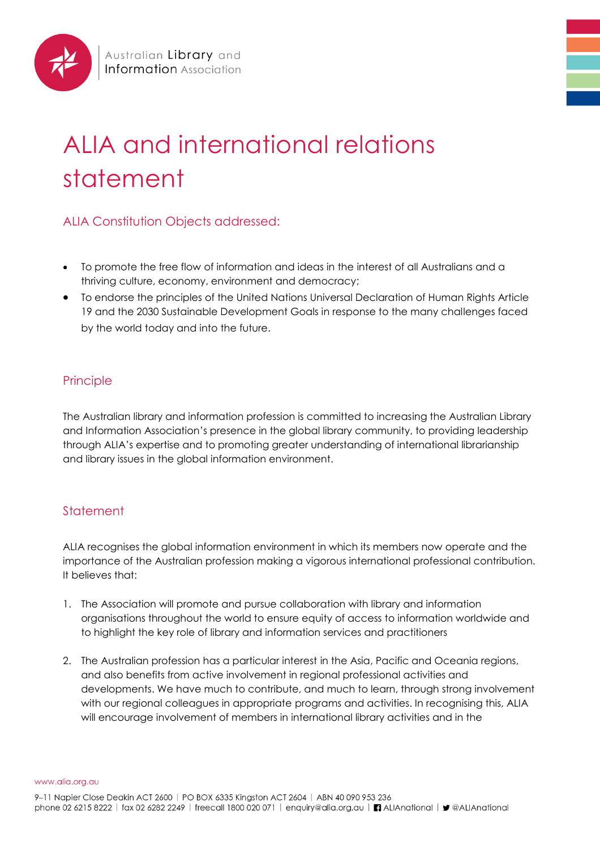

## ALIA and international relations statement

## ALIA Constitution Objects addressed:

- To promote the free flow of information and ideas in the interest of all Australians and a thriving culture, economy, environment and democracy;
- To endorse the principles of the United Nations Universal Declaration of Human Rights Article 19 and the 2030 Sustainable Development Goals in response to the many challenges faced by the world today and into the future.

## Principle

The Australian library and information profession is committed to increasing the Australian Library and Information Association's presence in the global library community, to providing leadership through ALIA's expertise and to promoting greater understanding of international librarianship and library issues in the global information environment.

## **Statement**

ALIA recognises the global information environment in which its members now operate and the importance of the Australian profession making a vigorous international professional contribution. It believes that:

- 1. The Association will promote and pursue collaboration with library and information organisations throughout the world to ensure equity of access to information worldwide and to highlight the key role of library and information services and practitioners
- 2. The Australian profession has a particular interest in the Asia, Pacific and Oceania regions, and also benefits from active involvement in regional professional activities and developments. We have much to contribute, and much to learn, through strong involvement with our regional colleagues in appropriate programs and activities. In recognising this, ALIA will encourage involvement of members in international library activities and in the

www.alia.org.au